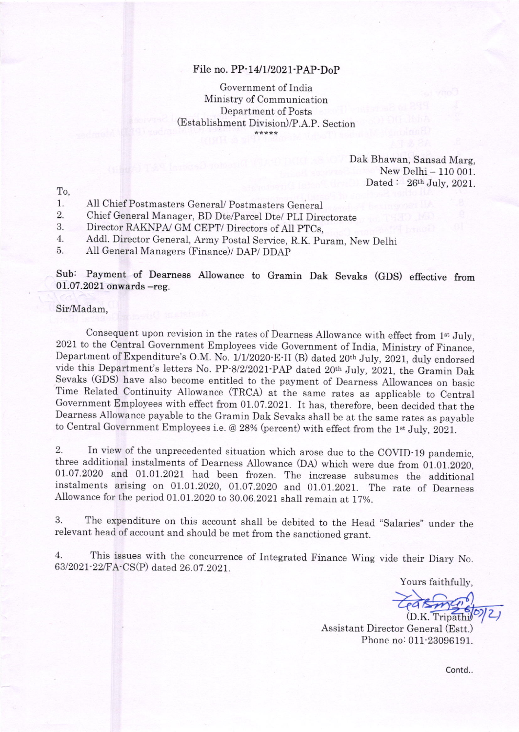## File no. PP-14/1/2021-PAP-DoP

Government of India Ministry of Communication Department of Posts (Establishment Division)/P.A.P. Section \*\*\*\*\*

> Dak Bhawan, Sansad Marg, New Delhi - 110 001. Dated:  $26<sup>th</sup>$  July, 2021.

To,

- l. All Chief Postmasters General/ Postmasters General
- $2.$ Chief General Manager, BD Dte/Parcel Dte/ PLI Directorate

Director RAKNPA/ GM CEPT/ Directors of AII PTCs, 3.

4. Addl. Director General, Army Postal Service, R.K. puram, New Delhi

5. A1I General Managers (Finance)/ DAP/ DDAP

Sub: Payment of Dearness Allowance to Gramin Dak Sevaks (GDS) effective from  $01.07.2021$  onwards  $-$ reg.

## Sir/Madam,

Consequent upon revision in the rates of Dearness Allowance with effect from 1<sup>st</sup> July, 2021 to the Central Government Employees vide Government of India, Ministry of Finance, Department of Expenditure's O.M. No. 1/1/2020 E-II (B) dated 20th July, 2021, duly endorsed vide this Department's letters No. PP-8/2/2021-PAP dated 20<sup>th</sup> July, 2021, the Gramin Dak Sevaks (GDS) have also become entitled to the payment of Dearness Allowances on basic Time Related Continuity Allowance (TRCA) at the same rates as applicable to Central Government Employees with effect from 01.07.2021. It has, therefore, been decided that the Dearness Allowance payable to the Gramin Dak Sevaks shall be at the same rates as payable to Central Government Employees i.e. @ 28% (percent) with effect from the 1<sup>st</sup> July, 2021.

2. In view of the unprecedented situation which arose due to the COVID-19 pandemic, three additional instalments of Dearness Allowance (DA) which were due from 01.01.2020, 01.07.2020 and 01.01.2021 had been frozen. The increase subsumes the additional instalments arising on 01.01.2020, ol.o7.2o2o and 01.01.2021. The rate of Dearness Allowance for the period 01.01.2020 to 80.06.2021 shall remain at 1T%.

3. The expenditure on this account shall be debited to the Head "Salaries" under the relevant head of account and should be met from the sanctioned grant.

4. This issues with the concurrence of Integrated Finance wing vide their Diary No. 63/2021-22/FA-CS(P) dated 26.07.2021.

Yours faithfully,

(D.K. Tripathi) 2)

Assistant Director General (Estt.) Phone no: 011-23096191.

contd..